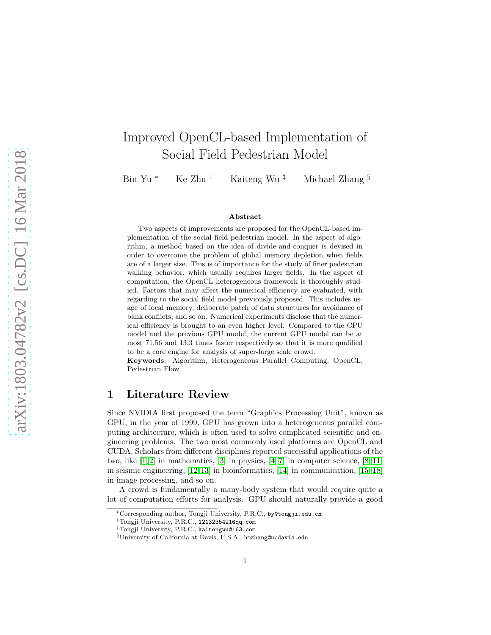# Improved OpenCL-based Implementation of Social Field Pedestrian Model

Bin Yu \* Ke Zhu † Kaiteng Wu ‡ Michael Zhang  $\S$ 

#### Abstract

Two aspects of improvements are proposed for the OpenCL-based implementation of the social field pedestrian model. In the aspect of algorithm, a method based on the idea of divide-and-conquer is devised in order to overcome the problem of global memory depletion when fields are of a larger size. This is of importance for the study of finer pedestrian walking behavior, which usually requires larger fields. In the aspect of computation, the OpenCL heterogeneous framework is thoroughly studied. Factors that may affect the numerical efficiency are evaluated, with regarding to the social field model previously proposed. This includes usage of local memory, deliberate patch of data structures for avoidance of bank conflicts, and so on. Numerical experiments disclose that the numerical efficiency is brought to an even higher level. Compared to the CPU model and the previous GPU model, the current GPU model can be at most 71.56 and 13.3 times faster respectively so that it is more qualified to be a core engine for analysis of super-large scale crowd.

Keywords: Algorithm, Heterogeneous Parallel Computing, OpenCL, Pedestrian Flow

## 1 Literature Review

Since NVIDIA first proposed the term "Graphics Processing Unit", known as GPU, in the year of 1999, GPU has grown into a heterogeneous parallel computing architecture, which is often used to solve complicated scientific and engineering problems. The two most commonly used platforms are OpenCL and CUDA. Scholars from different disciplines reported successful applications of the two, like  $[1, 2]$  $[1, 2]$  in mathematics,  $[3]$  in physics,  $[4-7]$  $[4-7]$  in computer science,  $[8-11]$  $[8-11]$ in seismic engineering, [\[12,](#page-17-2) [13\]](#page-17-3) in bioinformatics, [\[14\]](#page-17-4) in communication, [\[15–](#page-17-5)[18\]](#page-17-6) in image processing, and so on.

A crowd is fundamentally a many-body system that would require quite a lot of computation efforts for analysis. GPU should naturally provide a good

<sup>∗</sup>Corresponding author, Tongji University, P.R.C., by@tongji.edu.cn

<sup>†</sup>Tongji University, P.R.C., 1213235421@qq.com

<sup>‡</sup>Tongji University, P.R.C., kaitengwu@163.com

<sup>§</sup>University of California at Davis, U.S.A., hmzhang@ucdavis.edu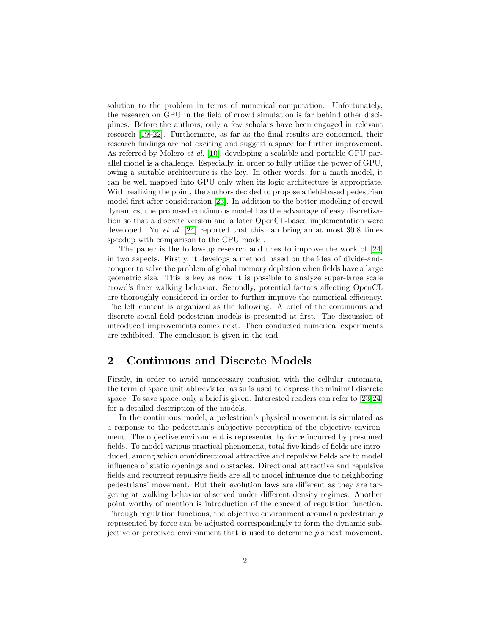solution to the problem in terms of numerical computation. Unfortunately, the research on GPU in the field of crowd simulation is far behind other disciplines. Before the authors, only a few scholars have been engaged in relevant research [\[19–](#page-17-7)[22\]](#page-18-0). Furthermore, as far as the final results are concerned, their research findings are not exciting and suggest a space for further improvement. As referred by Molero *et al.* [\[10\]](#page-17-8), developing a scalable and portable GPU parallel model is a challenge. Especially, in order to fully utilize the power of GPU, owing a suitable architecture is the key. In other words, for a math model, it can be well mapped into GPU only when its logic architecture is appropriate. With realizing the point, the authors decided to propose a field-based pedestrian model first after consideration [\[23\]](#page-18-1). In addition to the better modeling of crowd dynamics, the proposed continuous model has the advantage of easy discretization so that a discrete version and a later OpenCL-based implementation were developed. Yu *et al.* [\[24\]](#page-18-2) reported that this can bring an at most  $30.8$  times speedup with comparison to the CPU model.

The paper is the follow-up research and tries to improve the work of [\[24\]](#page-18-2) in two aspects. Firstly, it develops a method based on the idea of divide-andconquer to solve the problem of global memory depletion when fields have a large geometric size. This is key as now it is possible to analyze super-large scale crowd's finer walking behavior. Secondly, potential factors affecting OpenCL are thoroughly considered in order to further improve the numerical efficiency. The left content is organized as the following. A brief of the continuous and discrete social field pedestrian models is presented at first. The discussion of introduced improvements comes next. Then conducted numerical experiments are exhibited. The conclusion is given in the end.

## 2 Continuous and Discrete Models

Firstly, in order to avoid unnecessary confusion with the cellular automata, the term of space unit abbreviated as su is used to express the minimal discrete space. To save space, only a brief is given. Interested readers can refer to [\[23,](#page-18-1)[24\]](#page-18-2) for a detailed description of the models.

In the continuous model, a pedestrian's physical movement is simulated as a response to the pedestrian's subjective perception of the objective environment. The objective environment is represented by force incurred by presumed fields. To model various practical phenomena, total five kinds of fields are introduced, among which omnidirectional attractive and repulsive fields are to model influence of static openings and obstacles. Directional attractive and repulsive fields and recurrent repulsive fields are all to model influence due to neighboring pedestrians' movement. But their evolution laws are different as they are targeting at walking behavior observed under different density regimes. Another point worthy of mention is introduction of the concept of regulation function. Through regulation functions, the objective environment around a pedestrian  $p$ represented by force can be adjusted correspondingly to form the dynamic subjective or perceived environment that is used to determine p's next movement.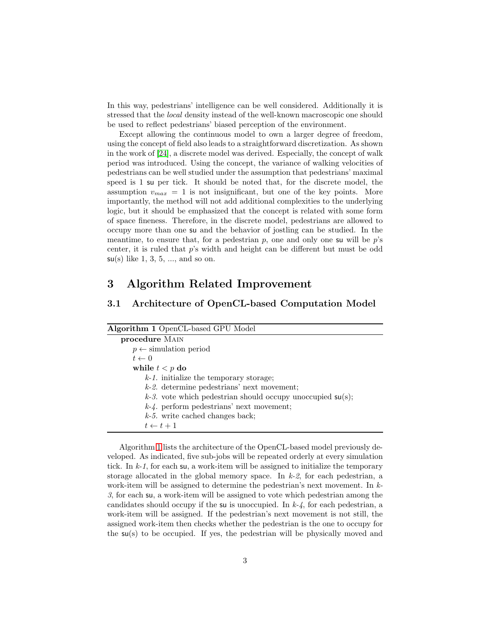In this way, pedestrians' intelligence can be well considered. Additionally it is stressed that the local density instead of the well-known macroscopic one should be used to reflect pedestrians' biased perception of the environment.

Except allowing the continuous model to own a larger degree of freedom, using the concept of field also leads to a straightforward discretization. As shown in the work of [\[24\]](#page-18-2), a discrete model was derived. Especially, the concept of walk period was introduced. Using the concept, the variance of walking velocities of pedestrians can be well studied under the assumption that pedestrians' maximal speed is 1 su per tick. It should be noted that, for the discrete model, the assumption  $v_{max} = 1$  is not insignificant, but one of the key points. More importantly, the method will not add additional complexities to the underlying logic, but it should be emphasized that the concept is related with some form of space fineness. Therefore, in the discrete model, pedestrians are allowed to occupy more than one su and the behavior of jostling can be studied. In the meantime, to ensure that, for a pedestrian  $p$ , one and only one su will be  $p$ 's center, it is ruled that p's width and height can be different but must be odd  $su(s)$  like 1, 3, 5, ..., and so on.

## 3 Algorithm Related Improvement

### 3.1 Architecture of OpenCL-based Computation Model

<span id="page-2-0"></span>

| Algorithm 1 OpenCL-based GPU Model                            |
|---------------------------------------------------------------|
| procedure MAIN                                                |
| $p \leftarrow$ simulation period                              |
| $t \leftarrow 0$                                              |
| while $t < p$ do                                              |
| $k-1$ . initialize the temporary storage;                     |
| $k-2$ . determine pedestrians' next movement;                 |
| $k-3$ . vote which pedestrian should occupy unoccupied su(s); |
| $k-4$ . perform pedestrians' next movement;                   |
| $k-5$ . write cached changes back;                            |
| $t \leftarrow t + 1$                                          |

Algorithm [1](#page-2-0) lists the architecture of the OpenCL-based model previously developed. As indicated, five sub-jobs will be repeated orderly at every simulation tick. In  $k-1$ , for each su, a work-item will be assigned to initialize the temporary storage allocated in the global memory space. In  $k-2$ , for each pedestrian, a work-item will be assigned to determine the pedestrian's next movement. In k-3, for each su, a work-item will be assigned to vote which pedestrian among the candidates should occupy if the su is unoccupied. In  $k-4$ , for each pedestrian, a work-item will be assigned. If the pedestrian's next movement is not still, the assigned work-item then checks whether the pedestrian is the one to occupy for the su(s) to be occupied. If yes, the pedestrian will be physically moved and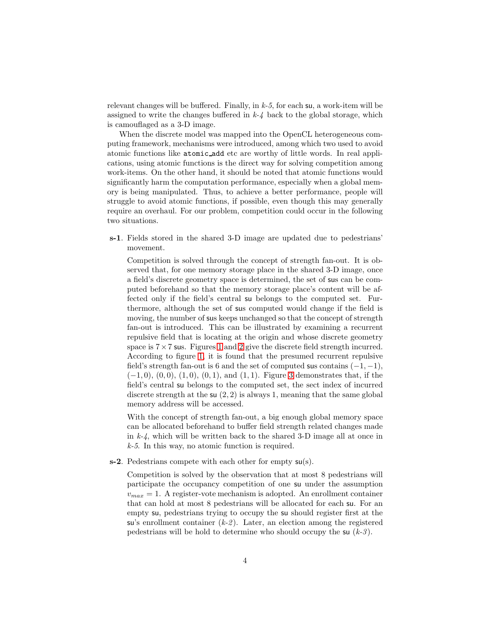relevant changes will be buffered. Finally, in  $k-5$ , for each su, a work-item will be assigned to write the changes buffered in  $k-4$  back to the global storage, which is camouflaged as a 3-D image.

When the discrete model was mapped into the OpenCL heterogeneous computing framework, mechanisms were introduced, among which two used to avoid atomic functions like atomic add etc are worthy of little words. In real applications, using atomic functions is the direct way for solving competition among work-items. On the other hand, it should be noted that atomic functions would significantly harm the computation performance, especially when a global memory is being manipulated. Thus, to achieve a better performance, people will struggle to avoid atomic functions, if possible, even though this may generally require an overhaul. For our problem, competition could occur in the following two situations.

s-1. Fields stored in the shared 3-D image are updated due to pedestrians' movement.

Competition is solved through the concept of strength fan-out. It is observed that, for one memory storage place in the shared 3-D image, once a field's discrete geometry space is determined, the set of sus can be computed beforehand so that the memory storage place's content will be affected only if the field's central su belongs to the computed set. Furthermore, although the set of sus computed would change if the field is moving, the number of sus keeps unchanged so that the concept of strength fan-out is introduced. This can be illustrated by examining a recurrent repulsive field that is locating at the origin and whose discrete geometry space is  $7 \times 7$  sus. Figures [1](#page-4-0) and [2](#page-4-1) give the discrete field strength incurred. According to figure [1,](#page-4-0) it is found that the presumed recurrent repulsive field's strength fan-out is 6 and the set of computed sus contains  $(-1, -1)$ ,  $(-1, 0), (0, 0), (1, 0), (0, 1),$  and  $(1, 1)$ . Figure [3](#page-5-0) demonstrates that, if the field's central su belongs to the computed set, the sect index of incurred discrete strength at the su  $(2, 2)$  is always 1, meaning that the same global memory address will be accessed.

With the concept of strength fan-out, a big enough global memory space can be allocated beforehand to buffer field strength related changes made in  $k-4$ , which will be written back to the shared 3-D image all at once in k-5. In this way, no atomic function is required.

s-2. Pedestrians compete with each other for empty  $su(s)$ .

Competition is solved by the observation that at most 8 pedestrians will participate the occupancy competition of one su under the assumption  $v_{max} = 1$ . A register-vote mechanism is adopted. An enrollment container that can hold at most 8 pedestrians will be allocated for each su. For an empty su, pedestrians trying to occupy the su should register first at the su's enrollment container  $(k-2)$ . Later, an election among the registered pedestrians will be hold to determine who should occupy the su  $(k-3)$ .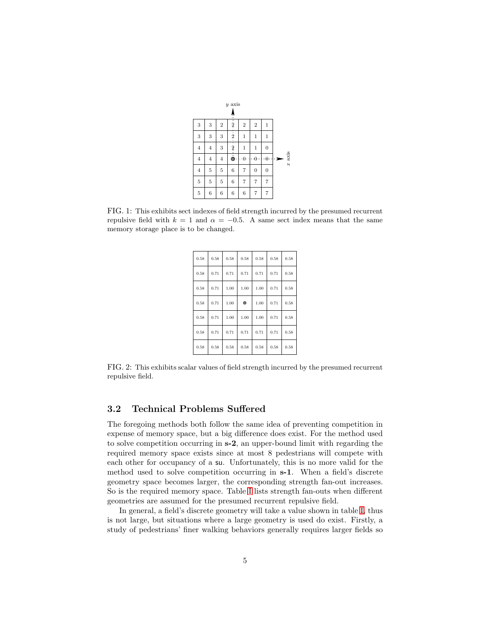|                |                  |                | $y$ axis         |                |                |                |   |          |
|----------------|------------------|----------------|------------------|----------------|----------------|----------------|---|----------|
|                |                  |                | ņ                |                |                |                |   |          |
| 3              | 3                | $\sqrt{2}$     | $\dot{2}$        | $\overline{2}$ | $\overline{2}$ | 1              |   |          |
| 3              | 3                | 3              | $\frac{1}{2}$    | $\mathbf 1$    | 1              | $\mathbf{1}$   |   |          |
| $\overline{4}$ | $\overline{4}$   | 3              | $\frac{1}{2}$    | $\mathbf 1$    | 1              | $\mathbf{0}$   |   |          |
| $\bf{4}$       | $\overline{4}$   | $\,4$          | $\dot{\bullet}$  | $\theta$<br>٠  | $\theta$       | $\cdot 0$      | э | $x$ axis |
| $\overline{4}$ | 5                | $\overline{5}$ | 6                | 7              | $\overline{0}$ | $\overline{0}$ |   |          |
| $\overline{5}$ | $\overline{5}$   | $\overline{5}$ | $\boldsymbol{6}$ | 7              | 7              | 7              |   |          |
| $\overline{5}$ | $\boldsymbol{6}$ | 6              | $\boldsymbol{6}$ | 6              | 7              | 7              |   |          |

<span id="page-4-0"></span>FIG. 1: This exhibits sect indexes of field strength incurred by the presumed recurrent repulsive field with  $k = 1$  and  $\alpha = -0.5$ . A same sect index means that the same memory storage place is to be changed.

| 0.58 | 0.58 | 0.58 | 0.58      | 0.58 | 0.58 | 0.58 |
|------|------|------|-----------|------|------|------|
| 0.58 | 0.71 | 0.71 | 0.71      | 0.71 | 0.71 | 0.58 |
| 0.58 | 0.71 | 1.00 | 1.00      | 1.00 | 0.71 | 0.58 |
| 0.58 | 0.71 | 1.00 | $\bullet$ | 1.00 | 0.71 | 0.58 |
| 0.58 | 0.71 | 1.00 | 1.00      | 1.00 | 0.71 | 0.58 |
| 0.58 | 0.71 | 0.71 | 0.71      | 0.71 | 0.71 | 0.58 |
| 0.58 | 0.58 | 0.58 | 0.58      | 0.58 | 0.58 | 0.58 |

<span id="page-4-1"></span>FIG. 2: This exhibits scalar values of field strength incurred by the presumed recurrent repulsive field.

#### 3.2 Technical Problems Suffered

The foregoing methods both follow the same idea of preventing competition in expense of memory space, but a big difference does exist. For the method used to solve competition occurring in s-2, an upper-bound limit with regarding the required memory space exists since at most 8 pedestrians will compete with each other for occupancy of a su. Unfortunately, this is no more valid for the method used to solve competition occurring in s-1. When a field's discrete geometry space becomes larger, the corresponding strength fan-out increases. So is the required memory space. Table [I](#page-6-0) lists strength fan-outs when different geometries are assumed for the presumed recurrent repulsive field.

In general, a field's discrete geometry will take a value shown in table [I,](#page-6-0) thus is not large, but situations where a large geometry is used do exist. Firstly, a study of pedestrians' finer walking behaviors generally requires larger fields so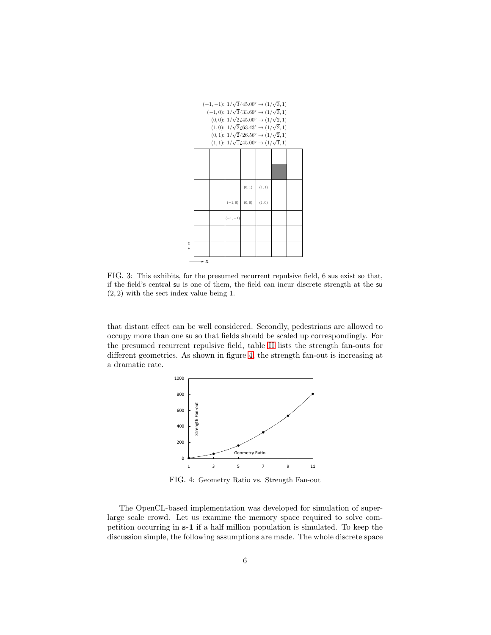

<span id="page-5-0"></span>FIG. 3: This exhibits, for the presumed recurrent repulsive field, 6 sus exist so that, if the field's central su is one of them, the field can incur discrete strength at the su (2, 2) with the sect index value being 1.

that distant effect can be well considered. Secondly, pedestrians are allowed to occupy more than one su so that fields should be scaled up correspondingly. For the presumed recurrent repulsive field, table [II](#page-6-1) lists the strength fan-outs for different geometries. As shown in figure [4,](#page-5-1) the strength fan-out is increasing at a dramatic rate.



<span id="page-5-1"></span>FIG. 4: Geometry Ratio vs. Strength Fan-out

The OpenCL-based implementation was developed for simulation of superlarge scale crowd. Let us examine the memory space required to solve competition occurring in s-1 if a half million population is simulated. To keep the discussion simple, the following assumptions are made. The whole discrete space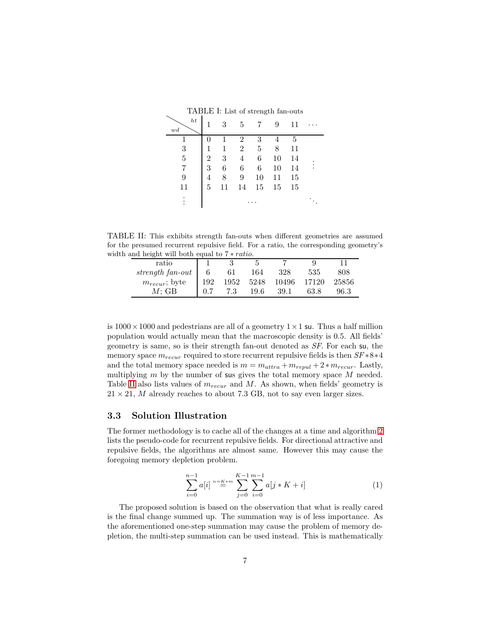<span id="page-6-0"></span>TABLE I: List of strength fan-outs

| ht<br>wd |   | 3  | 5              | 7  | 9  | 11 |  |
|----------|---|----|----------------|----|----|----|--|
|          |   | 1  | 2              | 3  |    | 5  |  |
| 3        | 1 | 1  | $\overline{2}$ | 5  | 8  | 11 |  |
| 5        | 2 | 3  | 4              | 6  | 10 | 14 |  |
|          | 3 | 6  | 6              | 6  | 10 | 14 |  |
| 9        | 4 | 8  | 9              | 10 | 11 | 15 |  |
| 11       | 5 | 11 | 14             | 15 | 15 | 15 |  |
| ٠        |   |    |                |    |    |    |  |

TABLE II: This exhibits strength fan-outs when different geometries are assumed for the presumed recurrent repulsive field. For a ratio, the corresponding geometry's width and height will both equal to 7 ∗ ratio.

<span id="page-6-1"></span>

| ratio                  |     |     |      |                       |      |       |
|------------------------|-----|-----|------|-----------------------|------|-------|
| strength fan-out   $6$ |     | 61  | 164  | 328                   | 535  | 808   |
| $m_{recur}$ ; byte     | 192 |     |      | 1952 5248 10496 17120 |      | 25856 |
| $M$ : GB               |     | 7.3 | 19.6 | 39.1                  | 63.8 | 96.3  |

is  $1000 \times 1000$  and pedestrians are all of a geometry  $1 \times 1$  su. Thus a half million population would actually mean that the macroscopic density is 0.5. All fields' geometry is same, so is their strength fan-out denoted as SF. For each su, the memory space  $m_{recur}$  required to store recurrent repulsive fields is then  $SF * 8 * 4$ and the total memory space needed is  $m = m_{attra} + m_{reoul} + 2 * m_{recur}$ . Lastly, multiplying  $m$  by the number of sus gives the total memory space  $M$  needed. Table [II](#page-6-1) also lists values of  $m_{recur}$  and M. As shown, when fields' geometry is  $21 \times 21$ , M already reaches to about 7.3 GB, not to say even larger sizes.

#### <span id="page-6-3"></span>3.3 Solution Illustration

The former methodology is to cache all of the changes at a time and algorithm [2](#page-7-0) lists the pseudo-code for recurrent repulsive fields. For directional attractive and repulsive fields, the algorithms are almost same. However this may cause the foregoing memory depletion problem.

<span id="page-6-2"></span>
$$
\sum_{i=0}^{n-1} a[i] \stackrel{n=K*m}{=} \sum_{j=0}^{K-1} \sum_{i=0}^{m-1} a[j*K + i]
$$
 (1)

The proposed solution is based on the observation that what is really cared is the final change summed up. The summation way is of less importance. As the aforementioned one-step summation may cause the problem of memory depletion, the multi-step summation can be used instead. This is mathematically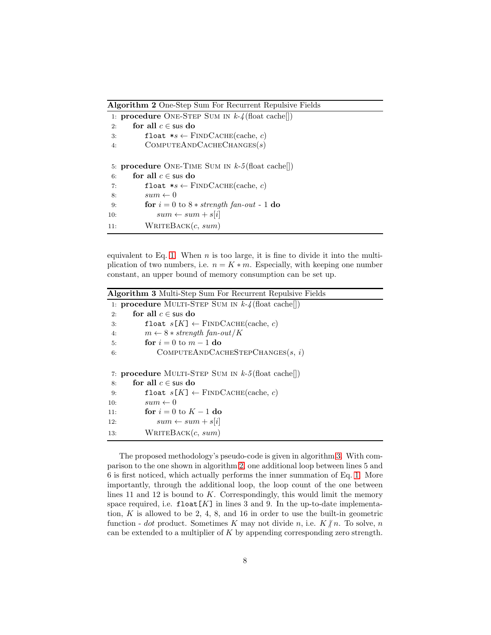<span id="page-7-0"></span>Algorithm 2 One-Step Sum For Recurrent Repulsive Fields

|     | 1. <b>procedure</b> ONE-STEP SUM IN $k-4$ (float cache)) |
|-----|----------------------------------------------------------|
| 2:  | for all $c \in \text{sus do}$                            |
| 3:  | float $*_s \leftarrow$ FINDCACHE(cache, c)               |
| 4:  | COMPUTEANDCACHECHANGES(s)                                |
|     |                                                          |
|     | 5: procedure ONE-TIME SUM IN $k-5$ (float cache))        |
| 6:  | for all $c \in \text{s}$ us do                           |
| 7:  | float $*_s \leftarrow$ FINDCACHE(cache, c)               |
| 8:  | $sum \leftarrow 0$                                       |
| 9:  | for $i = 0$ to $8 * strength$ fan-out - 1 do             |
| 10: | $sum \leftarrow sum + s[i]$                              |
| 11: | WRITEBACK $(c, sum)$                                     |

equivalent to Eq. [1.](#page-6-2) When  $n$  is too large, it is fine to divide it into the multiplication of two numbers, i.e.  $n = K * m$ . Especially, with keeping one number constant, an upper bound of memory consumption can be set up.

<span id="page-7-1"></span>

| <b>Algorithm 3</b> Multi-Step Sum For Recurrent Repulsive Fields |  |
|------------------------------------------------------------------|--|
| 1. <b>procedure</b> MULTI-STEP SUM IN $k-4$ (float cache))       |  |
| for all $c \in \text{s}$ us do<br>2:                             |  |
| float $s[K] \leftarrow$ FINDCACHE(cache, c)<br>3.                |  |
| $m \leftarrow 8 * strength fan-out/K$<br>4:                      |  |
| for $i = 0$ to $m - 1$ do<br>5:                                  |  |
| COMPUTEANDCACHESTEPCHANGES $(s, i)$<br>6:                        |  |
| 7: <b>procedure</b> MULTI-STEP SUM IN $k-5$ (float cache))       |  |
| for all $c \in \text{sus do}$<br>8:                              |  |
| float $s[K] \leftarrow$ FINDCACHE(cache, c)<br>9:                |  |
| $sum \leftarrow 0$<br>10:                                        |  |
| for $i=0$ to $K-1$ do<br>11:                                     |  |
| $sum \leftarrow sum + s[i]$<br>12.                               |  |
| WRITEBACK $(c, sum)$<br>13.                                      |  |

The proposed methodology's pseudo-code is given in algorithm [3.](#page-7-1) With comparison to the one shown in algorithm [2,](#page-7-0) one additional loop between lines 5 and 6 is first noticed, which actually performs the inner summation of Eq. [1.](#page-6-2) More importantly, through the additional loop, the loop count of the one between lines 11 and 12 is bound to  $K$ . Correspondingly, this would limit the memory space required, i.e.  $float[K]$  in lines 3 and 9. In the up-to-date implementation,  $K$  is allowed to be 2, 4, 8, and 16 in order to use the built-in geometric function - dot product. Sometimes K may not divide n, i.e.  $K/n$ . To solve, n can be extended to a multiplier of  $K$  by appending corresponding zero strength.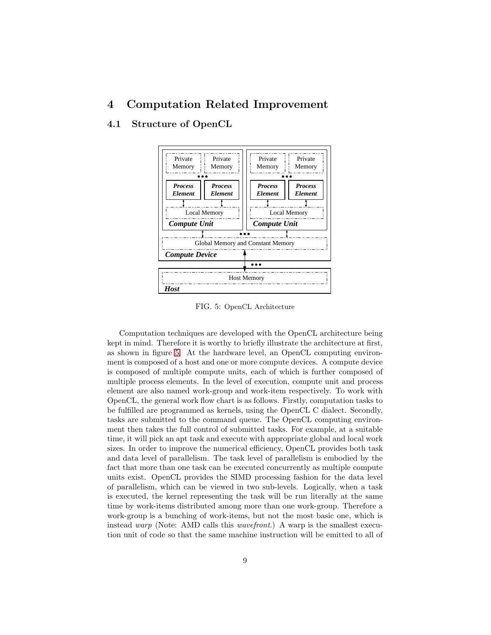# 4 Computation Related Improvement

## 4.1 Structure of OpenCL



<span id="page-8-0"></span>FIG. 5: OpenCL Architecture

Computation techniques are developed with the OpenCL architecture being kept in mind. Therefore it is worthy to briefly illustrate the architecture at first, as shown in figure [5.](#page-8-0) At the hardware level, an OpenCL computing environment is composed of a host and one or more compute devices. A compute device is composed of multiple compute units, each of which is further composed of multiple process elements. In the level of execution, compute unit and process element are also named work-group and work-item respectively. To work with OpenCL, the general work flow chart is as follows. Firstly, computation tasks to be fulfilled are programmed as kernels, using the OpenCL C dialect. Secondly, tasks are submitted to the command queue. The OpenCL computing environment then takes the full control of submitted tasks. For example, at a suitable time, it will pick an apt task and execute with appropriate global and local work sizes. In order to improve the numerical efficiency, OpenCL provides both task and data level of parallelism. The task level of parallelism is embodied by the fact that more than one task can be executed concurrently as multiple compute units exist. OpenCL provides the SIMD processing fashion for the data level of parallelism, which can be viewed in two sub-levels. Logically, when a task is executed, the kernel representing the task will be run literally at the same time by work-items distributed among more than one work-group. Therefore a work-group is a bunching of work-items, but not the most basic one, which is instead warp (Note: AMD calls this wavefront.) A warp is the smallest execution unit of code so that the same machine instruction will be emitted to all of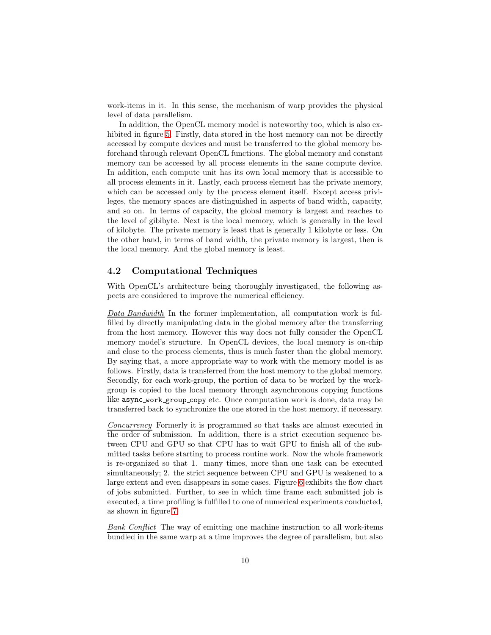work-items in it. In this sense, the mechanism of warp provides the physical level of data parallelism.

In addition, the OpenCL memory model is noteworthy too, which is also ex-hibited in figure [5.](#page-8-0) Firstly, data stored in the host memory can not be directly accessed by compute devices and must be transferred to the global memory beforehand through relevant OpenCL functions. The global memory and constant memory can be accessed by all process elements in the same compute device. In addition, each compute unit has its own local memory that is accessible to all process elements in it. Lastly, each process element has the private memory, which can be accessed only by the process element itself. Except access privileges, the memory spaces are distinguished in aspects of band width, capacity, and so on. In terms of capacity, the global memory is largest and reaches to the level of gibibyte. Next is the local memory, which is generally in the level of kilobyte. The private memory is least that is generally 1 kilobyte or less. On the other hand, in terms of band width, the private memory is largest, then is the local memory. And the global memory is least.

#### 4.2 Computational Techniques

With OpenCL's architecture being thoroughly investigated, the following aspects are considered to improve the numerical efficiency.

Data Bandwidth In the former implementation, all computation work is fulfilled by directly manipulating data in the global memory after the transferring from the host memory. However this way does not fully consider the OpenCL memory model's structure. In OpenCL devices, the local memory is on-chip and close to the process elements, thus is much faster than the global memory. By saying that, a more appropriate way to work with the memory model is as follows. Firstly, data is transferred from the host memory to the global memory. Secondly, for each work-group, the portion of data to be worked by the workgroup is copied to the local memory through asynchronous copying functions like async work group copy etc. Once computation work is done, data may be transferred back to synchronize the one stored in the host memory, if necessary.

Concurrency Formerly it is programmed so that tasks are almost executed in the order of submission. In addition, there is a strict execution sequence between CPU and GPU so that CPU has to wait GPU to finish all of the submitted tasks before starting to process routine work. Now the whole framework is re-organized so that 1. many times, more than one task can be executed simultaneously; 2. the strict sequence between CPU and GPU is weakened to a large extent and even disappears in some cases. Figure [6](#page-10-0) exhibits the flow chart of jobs submitted. Further, to see in which time frame each submitted job is executed, a time profiling is fulfilled to one of numerical experiments conducted, as shown in figure [7.](#page-10-1)

Bank Conflict The way of emitting one machine instruction to all work-items bundled in the same warp at a time improves the degree of parallelism, but also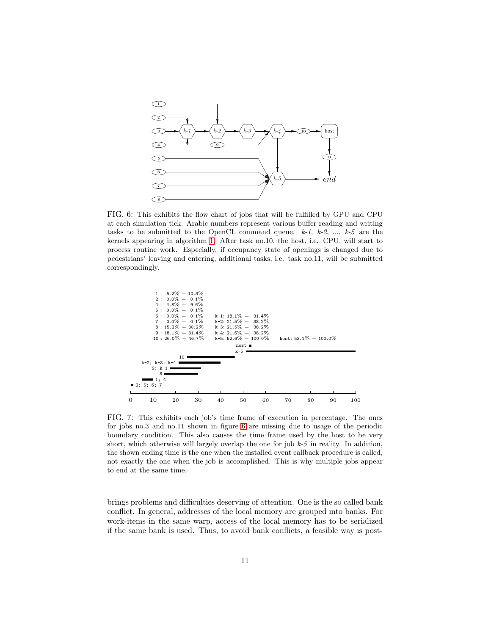

<span id="page-10-0"></span>FIG. 6: This exhibits the flow chart of jobs that will be fulfilled by GPU and CPU at each simulation tick. Arabic numbers represent various buffer reading and writing tasks to be submitted to the OpenCL command queue.  $k-1$ ,  $k-2$ , ...,  $k-5$  are the kernels appearing in algorithm [1.](#page-2-0) After task no.10, the host, i.e. CPU, will start to process routine work. Especially, if occupancy state of openings is changed due to pedestrians' leaving and entering, additional tasks, i.e. task no.11, will be submitted correspondingly.



<span id="page-10-1"></span>FIG. 7: This exhibits each job's time frame of execution in percentage. The ones for jobs no.3 and no.11 shown in figure [6](#page-10-0) are missing due to usage of the periodic boundary condition. This also causes the time frame used by the host to be very short, which otherwise will largely overlap the one for job  $k-5$  in reality. In addition, the shown ending time is the one when the installed event callback procedure is called, not exactly the one when the job is accomplished. This is why multiple jobs appear to end at the same time.

brings problems and difficulties deserving of attention. One is the so called bank conflict. In general, addresses of the local memory are grouped into banks. For work-items in the same warp, access of the local memory has to be serialized if the same bank is used. Thus, to avoid bank conflicts, a feasible way is post-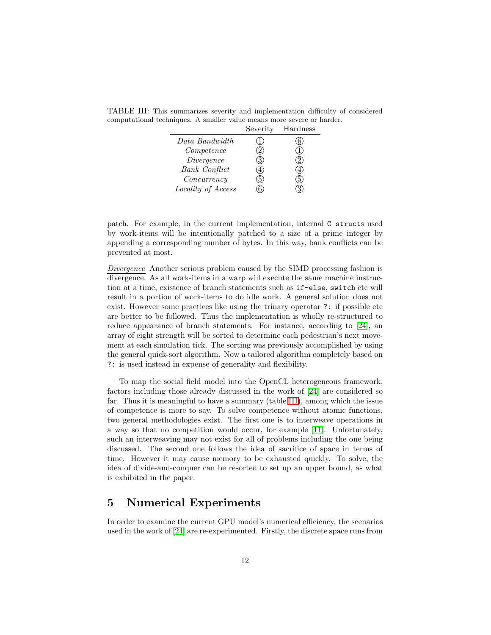<span id="page-11-0"></span>

|                      | Severity | Hardness |
|----------------------|----------|----------|
| Data Bandwidth       |          |          |
| Competence           | Z.       |          |
| Divergence           | 3.       |          |
| <b>Bank</b> Conflict |          |          |
| Concurrency          |          |          |
| Locality of Access   |          |          |

TABLE III: This summarizes severity and implementation difficulty of considered computational techniques. A smaller value means more severe or harder.

patch. For example, in the current implementation, internal C structs used by work-items will be intentionally patched to a size of a prime integer by appending a corresponding number of bytes. In this way, bank conflicts can be prevented at most.

Divergence Another serious problem caused by the SIMD processing fashion is divergence. As all work-items in a warp will execute the same machine instruction at a time, existence of branch statements such as if-else, switch etc will result in a portion of work-items to do idle work. A general solution does not exist. However some practices like using the trinary operator ?: if possible etc are better to be followed. Thus the implementation is wholly re-structured to reduce appearance of branch statements. For instance, according to [\[24\]](#page-18-2), an array of eight strength will be sorted to determine each pedestrian's next movement at each simulation tick. The sorting was previously accomplished by using the general quick-sort algorithm. Now a tailored algorithm completely based on ?: is used instead in expense of generality and flexibility.

To map the social field model into the OpenCL heterogeneous framework, factors including those already discussed in the work of [\[24\]](#page-18-2) are considered so far. Thus it is meaningful to have a summary (table [III\)](#page-11-0), among which the issue of competence is more to say. To solve competence without atomic functions, two general methodologies exist. The first one is to interweave operations in a way so that no competition would occur, for example [\[11\]](#page-17-1). Unfortunately, such an interweaving may not exist for all of problems including the one being discussed. The second one follows the idea of sacrifice of space in terms of time. However it may cause memory to be exhausted quickly. To solve, the idea of divide-and-conquer can be resorted to set up an upper bound, as what is exhibited in the paper.

## 5 Numerical Experiments

In order to examine the current GPU model's numerical efficiency, the scenarios used in the work of [\[24\]](#page-18-2) are re-experimented. Firstly, the discrete space runs from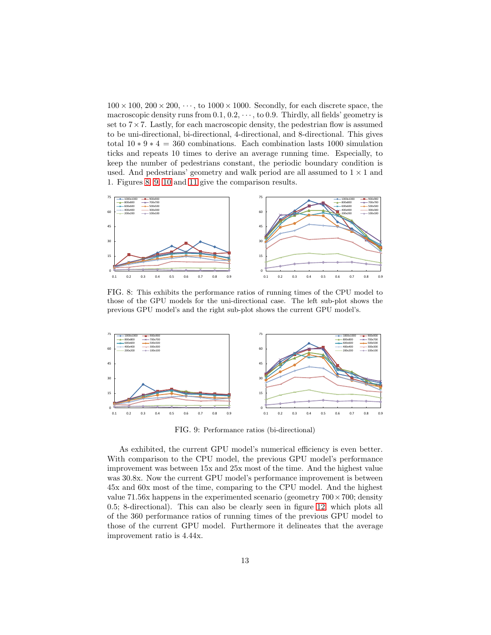$100 \times 100$ ,  $200 \times 200$ ,  $\cdots$ , to  $1000 \times 1000$ . Secondly, for each discrete space, the macroscopic density runs from  $0.1, 0.2, \dots$ , to 0.9. Thirdly, all fields' geometry is set to  $7 \times 7$ . Lastly, for each macroscopic density, the pedestrian flow is assumed to be uni-directional, bi-directional, 4-directional, and 8-directional. This gives total  $10 * 9 * 4 = 360$  combinations. Each combination lasts 1000 simulation ticks and repeats 10 times to derive an average running time. Especially, to keep the number of pedestrians constant, the periodic boundary condition is used. And pedestrians' geometry and walk period are all assumed to  $1 \times 1$  and 1. Figures [8,](#page-12-0) [9,](#page-12-1) [10](#page-13-0) and [11](#page-13-1) give the comparison results.



<span id="page-12-0"></span>FIG. 8: This exhibits the performance ratios of running times of the CPU model to those of the GPU models for the uni-directional case. The left sub-plot shows the previous GPU model's and the right sub-plot shows the current GPU model's.



<span id="page-12-1"></span>FIG. 9: Performance ratios (bi-directional)

As exhibited, the current GPU model's numerical efficiency is even better. With comparison to the CPU model, the previous GPU model's performance improvement was between 15x and 25x most of the time. And the highest value was 30.8x. Now the current GPU model's performance improvement is between 45x and 60x most of the time, comparing to the CPU model. And the highest value 71.56x happens in the experimented scenario (geometry  $700 \times 700$ ; density 0.5; 8-directional). This can also be clearly seen in figure [12,](#page-13-2) which plots all of the 360 performance ratios of running times of the previous GPU model to those of the current GPU model. Furthermore it delineates that the average improvement ratio is 4.44x.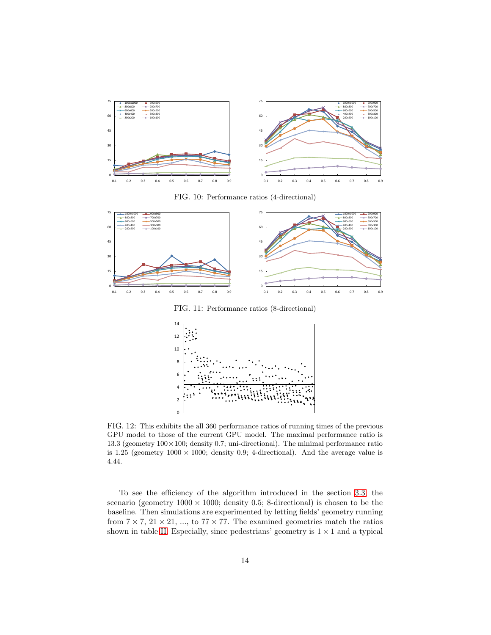

<span id="page-13-0"></span>FIG. 10: Performance ratios (4-directional)



<span id="page-13-1"></span>FIG. 11: Performance ratios (8-directional)



<span id="page-13-2"></span>FIG. 12: This exhibits the all 360 performance ratios of running times of the previous GPU model to those of the current GPU model. The maximal performance ratio is 13.3 (geometry  $100 \times 100$ ; density 0.7; uni-directional). The minimal performance ratio is 1.25 (geometry  $1000 \times 1000$ ; density 0.9; 4-directional). And the average value is 4.44.

To see the efficiency of the algorithm introduced in the section [3.3,](#page-6-3) the scenario (geometry  $1000 \times 1000$ ; density 0.5; 8-directional) is chosen to be the baseline. Then simulations are experimented by letting fields' geometry running from  $7 \times 7$ ,  $21 \times 21$ , ..., to  $77 \times 77$ . The examined geometries match the ratios shown in table [II.](#page-6-1) Especially, since pedestrians' geometry is  $1 \times 1$  and a typical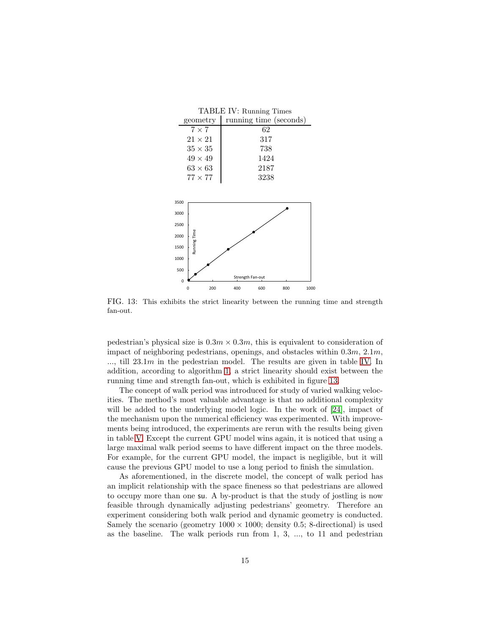<span id="page-14-0"></span>

| TABLE IV: Running Times                                                         |     |                        |      |     |      |  |  |  |  |
|---------------------------------------------------------------------------------|-----|------------------------|------|-----|------|--|--|--|--|
| geometry                                                                        |     | running time (seconds) |      |     |      |  |  |  |  |
| $7 \times 7$                                                                    |     |                        | 62   |     |      |  |  |  |  |
| $21 \times 21$                                                                  |     |                        | 317  |     |      |  |  |  |  |
| $35\times35$                                                                    |     |                        | 738  |     |      |  |  |  |  |
| $49 \times 49$                                                                  |     |                        | 1424 |     |      |  |  |  |  |
| $63\times63$                                                                    |     |                        | 2187 |     |      |  |  |  |  |
| $77 \times 77$                                                                  |     |                        | 3238 |     |      |  |  |  |  |
| 3500<br>3000<br>2500<br>Running Time<br>2000<br>1500<br>1000<br>500<br>$\Omega$ |     | Strength Fan-out       |      |     |      |  |  |  |  |
| 0                                                                               | 200 | 400                    | 600  | 800 | 1000 |  |  |  |  |

<span id="page-14-1"></span>FIG. 13: This exhibits the strict linearity between the running time and strength fan-out.

pedestrian's physical size is  $0.3m \times 0.3m$ , this is equivalent to consideration of impact of neighboring pedestrians, openings, and obstacles within 0.3m, 2.1m,  $...,$  till  $23.1m$  in the pedestrian model. The results are given in table [IV.](#page-14-0) In addition, according to algorithm [1,](#page-2-0) a strict linearity should exist between the running time and strength fan-out, which is exhibited in figure [13.](#page-14-1)

The concept of walk period was introduced for study of varied walking velocities. The method's most valuable advantage is that no additional complexity will be added to the underlying model logic. In the work of [\[24\]](#page-18-2), impact of the mechanism upon the numerical efficiency was experimented. With improvements being introduced, the experiments are rerun with the results being given in table [V.](#page-15-0) Except the current GPU model wins again, it is noticed that using a large maximal walk period seems to have different impact on the three models. For example, for the current GPU model, the impact is negligible, but it will cause the previous GPU model to use a long period to finish the simulation.

As aforementioned, in the discrete model, the concept of walk period has an implicit relationship with the space fineness so that pedestrians are allowed to occupy more than one su. A by-product is that the study of jostling is now feasible through dynamically adjusting pedestrians' geometry. Therefore an experiment considering both walk period and dynamic geometry is conducted. Samely the scenario (geometry  $1000 \times 1000$ ; density 0.5; 8-directional) is used as the baseline. The walk periods run from  $1, 3, \ldots$ , to  $11$  and pedestrian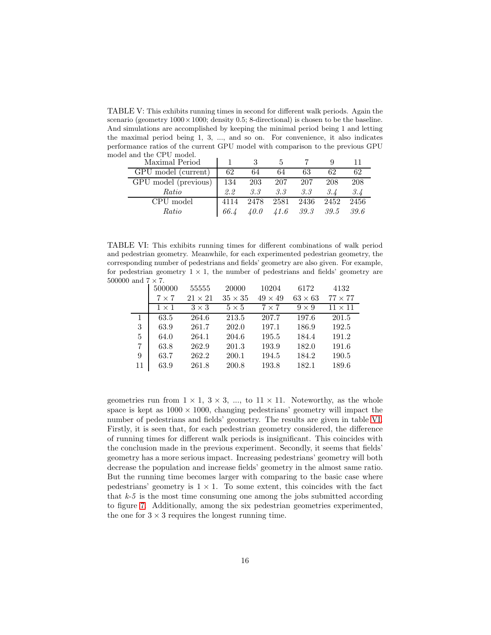<span id="page-15-0"></span>TABLE V: This exhibits running times in second for different walk periods. Again the scenario (geometry  $1000 \times 1000$ ; density 0.5; 8-directional) is chosen to be the baseline. And simulations are accomplished by keeping the minimal period being 1 and letting the maximal period being 1, 3, ..., and so on. For convenience, it also indicates performance ratios of the current GPU model with comparison to the previous GPU model and the CPU model.

| Maximal Period       |               |         |                             |     |      |      |
|----------------------|---------------|---------|-----------------------------|-----|------|------|
| GPU model (current)  | 62            | 64      | 64                          | 63  | 62   | 62   |
| GPU model (previous) | 134 203       |         | 207                         | 207 | 208  | 208  |
| Ratio                | $2.2^{\circ}$ | $3.3 -$ | 3.3                         | 3.3 | 3.4  | 3.4  |
| CPU model            | 4114          |         | 2478 2581 2436              |     | 2452 | 2456 |
| Ratio                | 66.4          |         | $40.0$ $41.6$ $39.3$ $39.5$ |     |      | 39.6 |

TABLE VI: This exhibits running times for different combinations of walk period and pedestrian geometry. Meanwhile, for each experimented pedestrian geometry, the corresponding number of pedestrians and fields' geometry are also given. For example, for pedestrian geometry  $1 \times 1$ , the number of pedestrians and fields' geometry are 500000 and  $7 \times 7$ .

<span id="page-15-1"></span>

|    | 500000       | 55555          | 20000          | 10204          | 6172           | 4132           |
|----|--------------|----------------|----------------|----------------|----------------|----------------|
|    | $7\times7$   | $21 \times 21$ | $35 \times 35$ | $49 \times 49$ | $63 \times 63$ | $77 \times 77$ |
|    | $1 \times 1$ | $3 \times 3$   | $5 \times 5$   | $7 \times 7$   | $9 \times 9$   | $11 \times 11$ |
| 1  | 63.5         | 264.6          | 213.5          | 207.7          | 197.6          | 201.5          |
| 3  | 63.9         | 261.7          | 202.0          | 197.1          | 186.9          | 192.5          |
| 5  | 64.0         | 264.1          | 204.6          | 195.5          | 184.4          | 191.2          |
| 7  | 63.8         | 262.9          | 201.3          | 193.9          | 182.0          | 191.6          |
| 9  | 63.7         | 262.2          | 200.1          | 194.5          | 184.2          | 190.5          |
| 11 | 63.9         | 261.8          | 200.8          | 193.8          | 182.1          | 189.6          |

geometries run from  $1 \times 1$ ,  $3 \times 3$ , ..., to  $11 \times 11$ . Noteworthy, as the whole space is kept as  $1000 \times 1000$ , changing pedestrians' geometry will impact the number of pedestrians and fields' geometry. The results are given in table [VI.](#page-15-1) Firstly, it is seen that, for each pedestrian geometry considered, the difference of running times for different walk periods is insignificant. This coincides with the conclusion made in the previous experiment. Secondly, it seems that fields' geometry has a more serious impact. Increasing pedestrians' geometry will both decrease the population and increase fields' geometry in the almost same ratio. But the running time becomes larger with comparing to the basic case where pedestrians' geometry is  $1 \times 1$ . To some extent, this coincides with the fact that  $k-5$  is the most time consuming one among the jobs submitted according to figure [7.](#page-10-1) Additionally, among the six pedestrian geometries experimented, the one for  $3 \times 3$  requires the longest running time.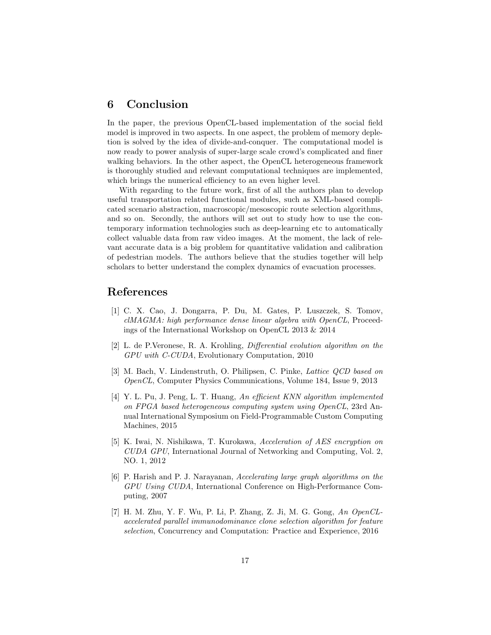## 6 Conclusion

In the paper, the previous OpenCL-based implementation of the social field model is improved in two aspects. In one aspect, the problem of memory depletion is solved by the idea of divide-and-conquer. The computational model is now ready to power analysis of super-large scale crowd's complicated and finer walking behaviors. In the other aspect, the OpenCL heterogeneous framework is thoroughly studied and relevant computational techniques are implemented, which brings the numerical efficiency to an even higher level.

With regarding to the future work, first of all the authors plan to develop useful transportation related functional modules, such as XML-based complicated scenario abstraction, macroscopic/mesoscopic route selection algorithms, and so on. Secondly, the authors will set out to study how to use the contemporary information technologies such as deep-learning etc to automatically collect valuable data from raw video images. At the moment, the lack of relevant accurate data is a big problem for quantitative validation and calibration of pedestrian models. The authors believe that the studies together will help scholars to better understand the complex dynamics of evacuation processes.

## <span id="page-16-0"></span>References

- [1] C. X. Cao, J. Dongarra, P. Du, M. Gates, P. Luszczek, S. Tomov, clMAGMA: high performance dense linear algebra with OpenCL, Proceedings of the International Workshop on OpenCL 2013 & 2014
- <span id="page-16-1"></span>[2] L. de P.Veronese, R. A. Krohling, Differential evolution algorithm on the GPU with C-CUDA, Evolutionary Computation, 2010
- <span id="page-16-2"></span>[3] M. Bach, V. Lindenstruth, O. Philipsen, C. Pinke, Lattice QCD based on OpenCL, Computer Physics Communications, Volume 184, Issue 9, 2013
- <span id="page-16-3"></span>[4] Y. L. Pu, J. Peng, L. T. Huang, An efficient KNN algorithm implemented on FPGA based heterogeneous computing system using OpenCL, 23rd Annual International Symposium on Field-Programmable Custom Computing Machines, 2015
- [5] K. Iwai, N. Nishikawa, T. Kurokawa, Acceleration of AES encryption on CUDA GPU, International Journal of Networking and Computing, Vol. 2, NO. 1, 2012
- [6] P. Harish and P. J. Narayanan, Accelerating large graph algorithms on the GPU Using CUDA, International Conference on High-Performance Computing, 2007
- <span id="page-16-4"></span>[7] H. M. Zhu, Y. F. Wu, P. Li, P. Zhang, Z. Ji, M. G. Gong, An OpenCLaccelerated parallel immunodominance clone selection algorithm for feature selection, Concurrency and Computation: Practice and Experience, 2016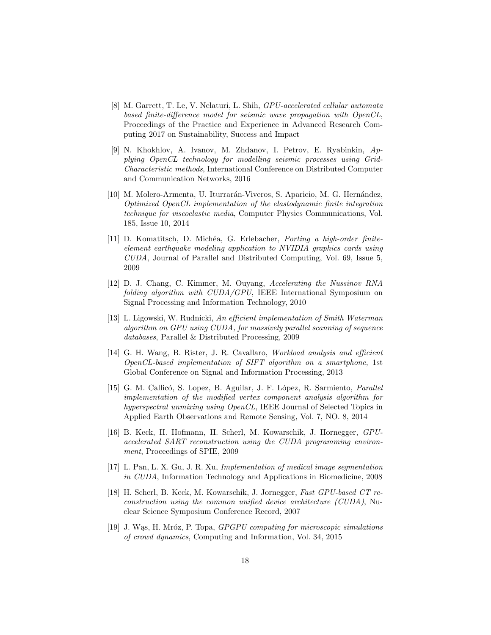- <span id="page-17-0"></span>[8] M. Garrett, T. Le, V. Nelaturi, L. Shih, GPU-accelerated cellular automata based finite-difference model for seismic wave propagation with OpenCL, Proceedings of the Practice and Experience in Advanced Research Computing 2017 on Sustainability, Success and Impact
- [9] N. Khokhlov, A. Ivanov, M. Zhdanov, I. Petrov, E. Ryabinkin, Applying OpenCL technology for modelling seismic processes using Grid-Characteristic methods, International Conference on Distributed Computer and Communication Networks, 2016
- <span id="page-17-8"></span>[10] M. Molero-Armenta, U. Iturrarán-Viveros, S. Aparicio, M. G. Hernández, Optimized OpenCL implementation of the elastodynamic finite integration technique for viscoelastic media, Computer Physics Communications, Vol. 185, Issue 10, 2014
- <span id="page-17-1"></span>[11] D. Komatitsch, D. Michéa, G. Erlebacher, Porting a high-order finiteelement earthquake modeling application to NVIDIA graphics cards using CUDA, Journal of Parallel and Distributed Computing, Vol. 69, Issue 5, 2009
- <span id="page-17-2"></span>[12] D. J. Chang, C. Kimmer, M. Ouyang, Accelerating the Nussinov RNA folding algorithm with CUDA/GPU, IEEE International Symposium on Signal Processing and Information Technology, 2010
- <span id="page-17-3"></span>[13] L. Ligowski, W. Rudnicki, An efficient implementation of Smith Waterman algorithm on GPU using CUDA, for massively parallel scanning of sequence databases, Parallel & Distributed Processing, 2009
- <span id="page-17-4"></span>[14] G. H. Wang, B. Rister, J. R. Cavallaro, Workload analysis and efficient OpenCL-based implementation of SIFT algorithm on a smartphone, 1st Global Conference on Signal and Information Processing, 2013
- <span id="page-17-5"></span>[15] G. M. Callicó, S. Lopez, B. Aguilar, J. F. López, R. Sarmiento, *Parallel* implementation of the modified vertex component analysis algorithm for hyperspectral unmixing using OpenCL, IEEE Journal of Selected Topics in Applied Earth Observations and Remote Sensing, Vol. 7, NO. 8, 2014
- [16] B. Keck, H. Hofmann, H. Scherl, M. Kowarschik, J. Hornegger, GPUaccelerated SART reconstruction using the CUDA programming environment, Proceedings of SPIE, 2009
- [17] L. Pan, L. X. Gu, J. R. Xu, Implementation of medical image segmentation in CUDA, Information Technology and Applications in Biomedicine, 2008
- <span id="page-17-6"></span>[18] H. Scherl, B. Keck, M. Kowarschik, J. Jornegger, Fast GPU-based CT reconstruction using the common unified device architecture (CUDA), Nuclear Science Symposium Conference Record, 2007
- <span id="page-17-7"></span>[19] J. Was, H. Mróz, P. Topa, *GPGPU computing for microscopic simulations* of crowd dynamics, Computing and Information, Vol. 34, 2015